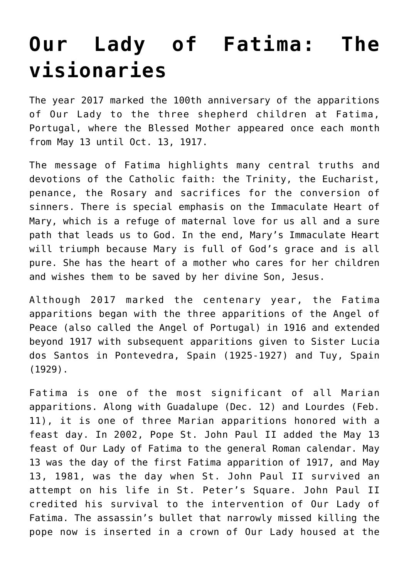## **[Our Lady of Fatima: The](https://www.teachingcatholickids.com/our-lady-of-fatima-the-visionaries/) [visionaries](https://www.teachingcatholickids.com/our-lady-of-fatima-the-visionaries/)**

The year 2017 marked the 100th anniversary of the apparitions of Our Lady to the three shepherd children at Fatima, Portugal, where the Blessed Mother appeared once each month from May 13 until Oct. 13, 1917.

The message of Fatima highlights many central truths and devotions of the Catholic faith: the Trinity, the Eucharist, penance, the Rosary and sacrifices for the conversion of sinners. There is special emphasis on the Immaculate Heart of Mary, which is a refuge of maternal love for us all and a sure path that leads us to God. In the end, Mary's Immaculate Heart will triumph because Mary is full of God's grace and is all pure. She has the heart of a mother who cares for her children and wishes them to be saved by her divine Son, Jesus.

Although 2017 marked the centenary year, the Fatima apparitions began with the three apparitions of the Angel of Peace (also called the Angel of Portugal) in 1916 and extended beyond 1917 with subsequent apparitions given to Sister Lucia dos Santos in Pontevedra, Spain (1925-1927) and Tuy, Spain (1929).

Fatima is one of the most significant of all Marian apparitions. Along with Guadalupe (Dec. 12) and Lourdes (Feb. 11), it is one of three Marian apparitions honored with a feast day. In 2002, Pope St. John Paul II added the May 13 feast of Our Lady of Fatima to the general Roman calendar. May 13 was the day of the first Fatima apparition of 1917, and May 13, 1981, was the day when St. John Paul II survived an attempt on his life in St. Peter's Square. John Paul II credited his survival to the intervention of Our Lady of Fatima. The assassin's bullet that narrowly missed killing the pope now is inserted in a crown of Our Lady housed at the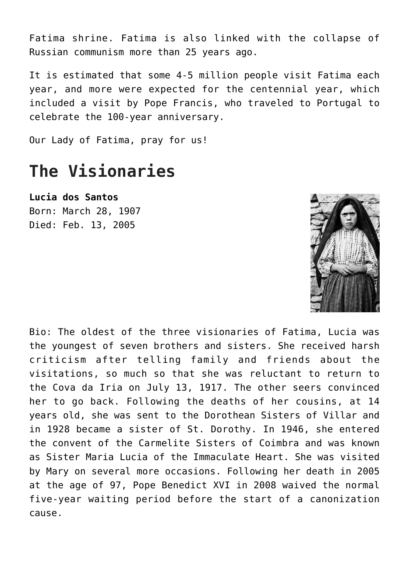Fatima shrine. Fatima is also linked with the collapse of Russian communism more than 25 years ago.

It is estimated that some 4-5 million people visit Fatima each year, and more were expected for the centennial year, which included a visit by Pope Francis, who traveled to Portugal to celebrate the 100-year anniversary.

Our Lady of Fatima, pray for us!

## **The Visionaries**

**Lucia dos Santos** Born: March 28, 1907 Died: Feb. 13, 2005



Bio: The oldest of the three visionaries of Fatima, Lucia was the youngest of seven brothers and sisters. She received harsh criticism after telling family and friends about the visitations, so much so that she was reluctant to return to the Cova da Iria on July 13, 1917. The other seers convinced her to go back. Following the deaths of her cousins, at 14 years old, she was sent to the Dorothean Sisters of Villar and in 1928 became a sister of St. Dorothy. In 1946, she entered the convent of the Carmelite Sisters of Coimbra and was known as Sister Maria Lucia of the Immaculate Heart. She was visited by Mary on several more occasions. Following her death in 2005 at the age of 97, Pope Benedict XVI in 2008 waived the normal five-year waiting period before the start of a canonization cause.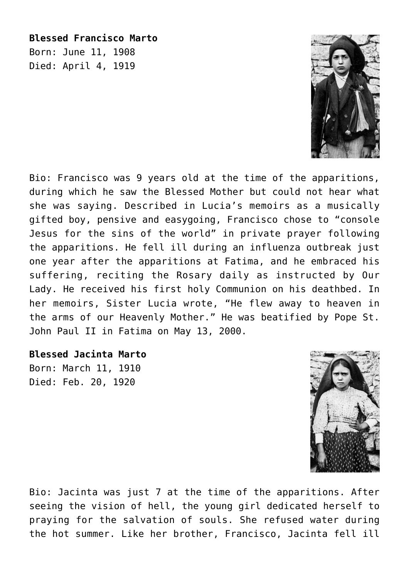## **Blessed Francisco Marto**

Born: June 11, 1908 Died: April 4, 1919



Bio: Francisco was 9 years old at the time of the apparitions, during which he saw the Blessed Mother but could not hear what she was saying. Described in Lucia's memoirs as a musically gifted boy, pensive and easygoing, Francisco chose to "console Jesus for the sins of the world" in private prayer following the apparitions. He fell ill during an influenza outbreak just one year after the apparitions at Fatima, and he embraced his suffering, reciting the Rosary daily as instructed by Our Lady. He received his first holy Communion on his deathbed. In her memoirs, Sister Lucia wrote, "He flew away to heaven in the arms of our Heavenly Mother." He was beatified by Pope St. John Paul II in Fatima on May 13, 2000.

## **Blessed Jacinta Marto**

Born: March 11, 1910 Died: Feb. 20, 1920



Bio: Jacinta was just 7 at the time of the apparitions. After seeing the vision of hell, the young girl dedicated herself to praying for the salvation of souls. She refused water during the hot summer. Like her brother, Francisco, Jacinta fell ill